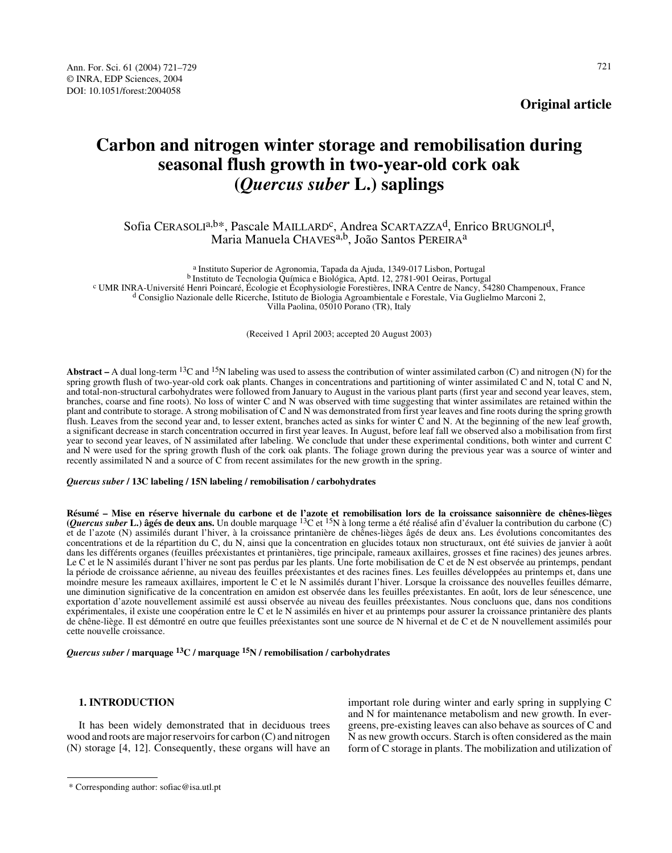**Original article**

# **Carbon and nitrogen winter storage and remobilisation during seasonal flush growth in two-year-old cork oak (***Quercus suber* **L.) saplings**

## Sofia CERASOLI<sup>a,b\*</sup>, Pascale MAILLARD<sup>c</sup>, Andrea SCARTAZZA<sup>d</sup>, Enrico BRUGNOLI<sup>d</sup>, Maria Manuela CHAVES<sup>a,b</sup>, João Santos PEREIRA<sup>a</sup>

<sup>a</sup> Instituto Superior de Agronomia, Tapada da Ajuda, 1349-017 Lisbon, Portugal<br><sup>b</sup> Instituto de Tecnologia Química e Biológica, Aptd. 12, 2781-901 Oeiras, Portugal<br><sup>c</sup> UMR INRA-Université Henri Poincaré, Écologie et Écoph Villa Paolina, 05010 Porano (TR), Italy

(Received 1 April 2003; accepted 20 August 2003)

**Abstract –** A dual long-term 13C and 15N labeling was used to assess the contribution of winter assimilated carbon (C) and nitrogen (N) for the spring growth flush of two-year-old cork oak plants. Changes in concentrations and partitioning of winter assimilated C and N, total C and N, and total-non-structural carbohydrates were followed from January to August in the various plant parts (first year and second year leaves, stem, branches, coarse and fine roots). No loss of winter C and N was observed with time suggesting that winter assimilates are retained within the plant and contribute to storage. A strong mobilisation of C and N was demonstrated from first year leaves and fine roots during the spring growth flush. Leaves from the second year and, to lesser extent, branches acted as sinks for winter C and N. At the beginning of the new leaf growth, a significant decrease in starch concentration occurred in first year leaves. In August, before leaf fall we observed also a mobilisation from first year to second year leaves, of N assimilated after labeling. We conclude that under these experimental conditions, both winter and current C and N were used for the spring growth flush of the cork oak plants. The foliage grown during the previous year was a source of winter and recently assimilated N and a source of C from recent assimilates for the new growth in the spring.

#### *Quercus suber* **/ 13C labeling / 15N labeling / remobilisation / carbohydrates**

**Résumé – Mise en réserve hivernale du carbone et de l'azote et remobilisation lors de la croissance saisonnière de chênes-lièges (***Quercus suber* **L.) âgés de deux ans.** Un double marquage 13C et 15N à long terme a été réalisé afin d'évaluer la contribution du carbone (C) et de l'azote (N) assimilés durant l'hiver, à la croissance printanière de chênes-lièges âgés de deux ans. Les évolutions concomitantes des concentrations et de la répartition du C, du N, ainsi que la concentration en glucides totaux non structuraux, ont été suivies de janvier à août dans les différents organes (feuilles préexistantes et printanières, tige principale, rameaux axillaires, grosses et fine racines) des jeunes arbres. Le C et le N assimilés durant l'hiver ne sont pas perdus par les plants. Une forte mobilisation de C et de N est observée au printemps, pendant la période de croissance aérienne, au niveau des feuilles préexistantes et des racines fines. Les feuilles développées au printemps et, dans une moindre mesure les rameaux axillaires, importent le C et le N assimilés durant l'hiver. Lorsque la croissance des nouvelles feuilles démarre, une diminution significative de la concentration en amidon est observée dans les feuilles préexistantes. En août, lors de leur sénescence, une exportation d'azote nouvellement assimilé est aussi observée au niveau des feuilles préexistantes. Nous concluons que, dans nos conditions expérimentales, il existe une coopération entre le C et le N assimilés en hiver et au printemps pour assurer la croissance printanière des plants de chêne-liège. Il est démontré en outre que feuilles préexistantes sont une source de N hivernal et de C et de N nouvellement assimilés pour cette nouvelle croissance.

*Quercus suber* **/ marquage 13C / marquage 15N / remobilisation / carbohydrates**

### **1. INTRODUCTION**

It has been widely demonstrated that in deciduous trees wood and roots are major reservoirs for carbon (C) and nitrogen (N) storage [4, 12]. Consequently, these organs will have an

important role during winter and early spring in supplying C and N for maintenance metabolism and new growth. In evergreens, pre-existing leaves can also behave as sources of C and N as new growth occurs. Starch is often considered as the main form of C storage in plants. The mobilization and utilization of

 <sup>\*</sup> Corresponding author: sofiac@isa.utl.pt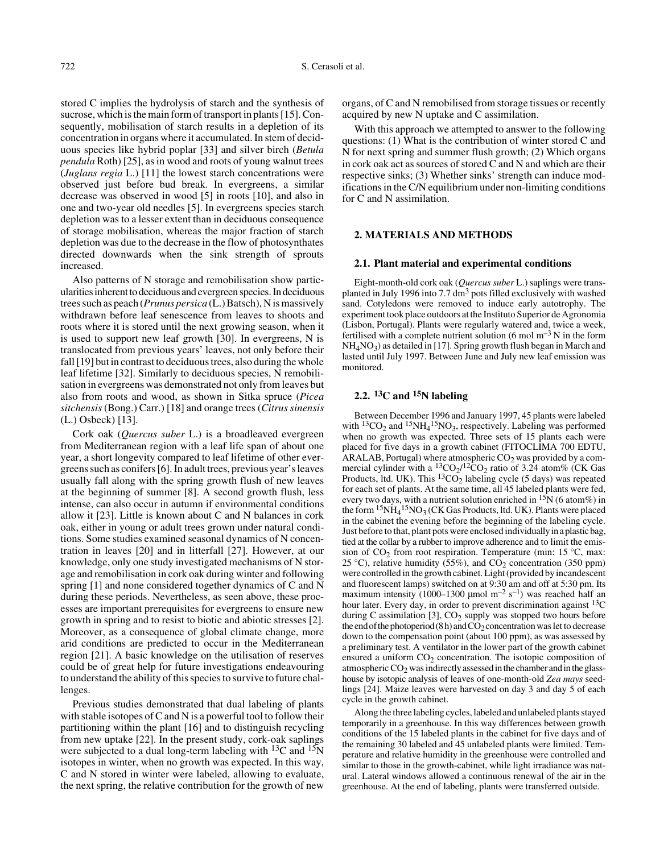stored C implies the hydrolysis of starch and the synthesis of sucrose, which is the main form of transport in plants [15]. Consequently, mobilisation of starch results in a depletion of its concentration in organs where it accumulated. In stem of deciduous species like hybrid poplar [33] and silver birch (*Betula pendula* Roth) [25], as in wood and roots of young walnut trees (*Juglans regia* L.) [11] the lowest starch concentrations were observed just before bud break. In evergreens, a similar decrease was observed in wood [5] in roots [10], and also in one and two-year old needles [5]. In evergreens species starch depletion was to a lesser extent than in deciduous consequence of storage mobilisation, whereas the major fraction of starch depletion was due to the decrease in the flow of photosynthates directed downwards when the sink strength of sprouts increased.

Also patterns of N storage and remobilisation show particularities inherent to deciduous and evergreen species. In deciduous trees such as peach (*Prunus persica* (L.) Batsch), N is massively withdrawn before leaf senescence from leaves to shoots and roots where it is stored until the next growing season, when it is used to support new leaf growth [30]. In evergreens, N is translocated from previous years' leaves, not only before their fall [19] but in contrast to deciduous trees, also during the whole leaf lifetime [32]. Similarly to deciduous species, N remobilisation in evergreens was demonstrated not only from leaves but also from roots and wood, as shown in Sitka spruce (*Picea sitchensis* (Bong.) Carr.) [18] and orange trees (*Citrus sinensis* (L.) Osbeck) [13].

Cork oak (*Quercus suber* L.) is a broadleaved evergreen from Mediterranean region with a leaf life span of about one year, a short longevity compared to leaf lifetime of other evergreens such as conifers [6]. In adult trees, previous year's leaves usually fall along with the spring growth flush of new leaves at the beginning of summer [8]. A second growth flush, less intense, can also occur in autumn if environmental conditions allow it [23]. Little is known about C and N balances in cork oak, either in young or adult trees grown under natural conditions. Some studies examined seasonal dynamics of N concentration in leaves [20] and in litterfall [27]. However, at our knowledge, only one study investigated mechanisms of N storage and remobilisation in cork oak during winter and following spring [1] and none considered together dynamics of C and N during these periods. Nevertheless, as seen above, these processes are important prerequisites for evergreens to ensure new growth in spring and to resist to biotic and abiotic stresses [2]. Moreover, as a consequence of global climate change, more arid conditions are predicted to occur in the Mediterranean region [21]. A basic knowledge on the utilisation of reserves could be of great help for future investigations endeavouring to understand the ability of this species to survive to future challenges.

Previous studies demonstrated that dual labeling of plants with stable isotopes of C and N is a powerful tool to follow their partitioning within the plant [16] and to distinguish recycling from new uptake [22]. In the present study, cork-oak saplings were subjected to a dual long-term labeling with  $^{13}$ C and  $^{15}$ N isotopes in winter, when no growth was expected. In this way, C and N stored in winter were labeled, allowing to evaluate, the next spring, the relative contribution for the growth of new

organs, of C and N remobilised from storage tissues or recently acquired by new N uptake and C assimilation.

With this approach we attempted to answer to the following questions: (1) What is the contribution of winter stored C and N for next spring and summer flush growth; (2) Which organs in cork oak act as sources of stored C and N and which are their respective sinks; (3) Whether sinks' strength can induce modifications in the C/N equilibrium under non-limiting conditions for C and N assimilation.

## **2. MATERIALS AND METHODS**

#### **2.1. Plant material and experimental conditions**

Eight-month-old cork oak (*Quercus suber* L.) saplings were transplanted in July 1996 into 7.7 dm3 pots filled exclusively with washed sand. Cotyledons were removed to induce early autotrophy. The experiment took place outdoors at the Instituto Superior de Agronomia (Lisbon, Portugal). Plants were regularly watered and, twice a week, fertilised with a complete nutrient solution (6 mol  $m^{-3}$  N in the form  $NH<sub>4</sub>NO<sub>3</sub>$ ) as detailed in [17]. Spring growth flush began in March and lasted until July 1997. Between June and July new leaf emission was monitored.

# **2.2. 13C and 15N labeling**

Between December 1996 and January 1997, 45 plants were labeled with  ${}^{13}CO_2$  and  ${}^{15}NH_4{}^{15}NO_3$ , respectively. Labeling was performed when no growth was expected. Three sets of 15 plants each were placed for five days in a growth cabinet (FITOCLIMA 700 EDTU,  $ARALAB$ , Portugal) where atmospheric  $CO<sub>2</sub>$  was provided by a commercial cylinder with a  ${}^{13}CO_2/{}^{12}CO_2$  ratio of 3.24 atom% (CK Gas Products, ltd. UK). This  ${}^{13}CO_2$  labeling cycle (5 days) was repeated for each set of plants. At the same time, all 45 labeled plants were fed, every two days, with a nutrient solution enriched in  ${}^{15}N$  (6 atom%) in the form  $\mathrm{^{15}NH_4 ^{15}NO_3}$  (CK Gas Products, ltd. UK). Plants were placed in the cabinet the evening before the beginning of the labeling cycle. Just before to that, plant pots were enclosed individually in a plastic bag, tied at the collar by a rubber to improve adherence and to limit the emission of  $CO<sub>2</sub>$  from root respiration. Temperature (min: 15 °C, max: 25 °C), relative humidity (55%), and  $CO<sub>2</sub>$  concentration (350 ppm) were controlled in the growth cabinet. Light (provided by incandescent and fluorescent lamps) switched on at 9:30 am and off at 5:30 pm. Its maximum intensity (1000–1300 µmol m<sup>-2</sup> s<sup>-1</sup>) was reached half an hour later. Every day, in order to prevent discrimination against  $^{13}C$ during C assimilation [3],  $CO<sub>2</sub>$  supply was stopped two hours before the end of the photoperiod (8 h) and  $CO<sub>2</sub>$  concentration was let to decrease down to the compensation point (about 100 ppm), as was assessed by a preliminary test. A ventilator in the lower part of the growth cabinet ensured a uniform  $CO<sub>2</sub>$  concentration. The isotopic composition of atmospheric  $CO<sub>2</sub>$  was indirectly assessed in the chamber and in the glasshouse by isotopic analysis of leaves of one-month-old *Zea mays* seedlings [24]. Maize leaves were harvested on day 3 and day 5 of each cycle in the growth cabinet.

Along the three labeling cycles, labeled and unlabeled plants stayed temporarily in a greenhouse. In this way differences between growth conditions of the 15 labeled plants in the cabinet for five days and of the remaining 30 labeled and 45 unlabeled plants were limited. Temperature and relative humidity in the greenhouse were controlled and similar to those in the growth-cabinet, while light irradiance was natural. Lateral windows allowed a continuous renewal of the air in the greenhouse. At the end of labeling, plants were transferred outside.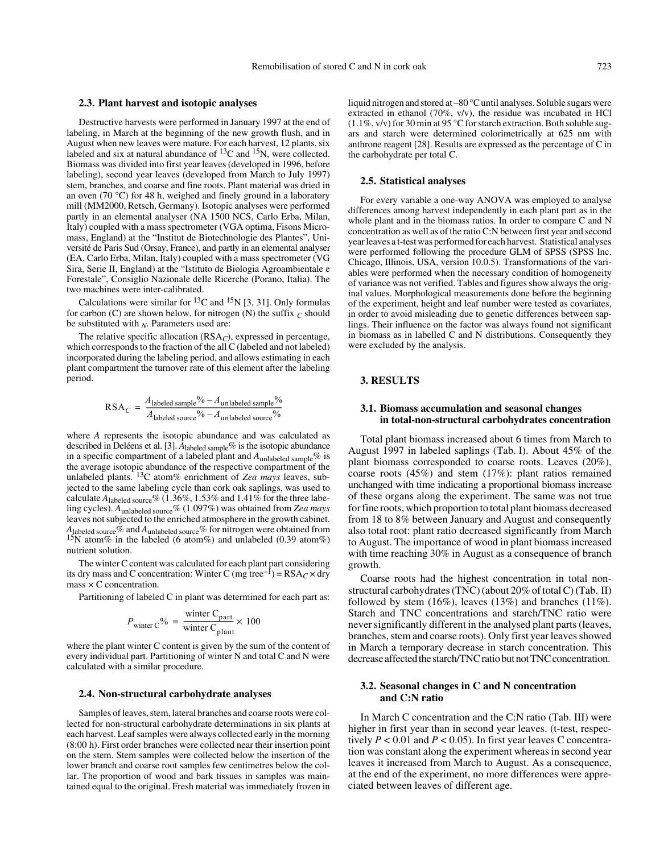#### **2.3. Plant harvest and isotopic analyses**

Destructive harvests were performed in January 1997 at the end of labeling, in March at the beginning of the new growth flush, and in August when new leaves were mature. For each harvest, 12 plants, six labeled and six at natural abundance of  ${}^{13}C$  and  ${}^{15}N$ , were collected. Biomass was divided into first year leaves (developed in 1996, before labeling), second year leaves (developed from March to July 1997) stem, branches, and coarse and fine roots. Plant material was dried in an oven (70 °C) for 48 h, weighed and finely ground in a laboratory mill (MM2000, Retsch, Germany). Isotopic analyses were performed partly in an elemental analyser (NA 1500 NCS, Carlo Erba, Milan, Italy) coupled with a mass spectrometer (VGA optima, Fisons Micromass, England) at the "Institut de Biotechnologie des Plantes", Université de Paris Sud (Orsay, France), and partly in an elemental analyser (EA, Carlo Erba, Milan, Italy) coupled with a mass spectrometer (VG Sira, Serie II, England) at the "Istituto de Biologia Agroambientale e Forestale", Consiglio Nazionale delle Ricerche (Porano, Italia). The two machines were inter-calibrated.

Calculations were similar for  ${}^{13}C$  and  ${}^{15}N$  [3, 31]. Only formulas for carbon (C) are shown below, for nitrogen (N) the suffix  $\epsilon$  should be substituted with *N*. Parameters used are:

The relative specific allocation (RSA*C*), expressed in percentage, which corresponds to the fraction of the all C (labeled and not labeled) incorporated during the labeling period, and allows estimating in each plant compartment the turnover rate of this element after the labeling period.

$$
RSA_C = \frac{A_{\text{labeled sample}} \% - A_{\text{unlabeled sample}} \% }{A_{\text{labeled source}} \% - A_{\text{unlabeled source}} \%}
$$

where *A* represents the isotopic abundance and was calculated as described in Deléens et al. [3]. *A*labeled sample% is the isotopic abundance in a specific compartment of a labeled plant and *A*unlabeled sample% is the average isotopic abundance of the respective compartment of the unlabeled plants. 13C atom% enrichment of *Zea mays* leaves, subjected to the same labeling cycle than cork oak saplings, was used to calculate  $A_{\text{labeled source}}$ % (1.36%, 1.53% and 1.41% for the three labeling cycles). *A*unlabeled source% (1.097%) was obtained from *Zea mays* leaves not subjected to the enriched atmosphere in the growth cabinet. *A*labeled source% and *A*unlabeled source% for nitrogen were obtained from  $15N$  atom% in the labeled (6 atom%) and unlabeled (0.39 atom%) nutrient solution.

The winter C content was calculated for each plant part considering its dry mass and C concentration: Winter C (mg tree<sup>-1</sup>) =  $RSA_C \times dry$  $mass \times C$  concentration.

Partitioning of labeled C in plant was determined for each part as:

$$
P_{\text{winter C}}\% = \frac{\text{winter C}_{\text{part}}}{\text{winter C}_{\text{plant}}} \times 100
$$

where the plant winter C content is given by the sum of the content of every individual part. Partitioning of winter N and total C and N were calculated with a similar procedure.

#### **2.4. Non-structural carbohydrate analyses**

Samples of leaves, stem, lateral branches and coarse roots were collected for non-structural carbohydrate determinations in six plants at each harvest. Leaf samples were always collected early in the morning (8:00 h). First order branches were collected near their insertion point on the stem. Stem samples were collected below the insertion of the lower branch and coarse root samples few centimetres below the collar. The proportion of wood and bark tissues in samples was maintained equal to the original. Fresh material was immediately frozen in

liquid nitrogen and stored at –80 °C until analyses. Soluble sugars were extracted in ethanol (70%, v/v), the residue was incubated in HCl  $(1.1\%, v/v)$  for 30 min at 95 °C for starch extraction. Both soluble sugars and starch were determined colorimetrically at 625 nm with anthrone reagent [28]. Results are expressed as the percentage of C in the carbohydrate per total C.

#### **2.5. Statistical analyses**

For every variable a one-way ANOVA was employed to analyse differences among harvest independently in each plant part as in the whole plant and in the biomass ratios. In order to compare C and N concentration as well as of the ratio C:N between first year and second year leaves a t-test was performed for each harvest. Statistical analyses were performed following the procedure GLM of SPSS (SPSS Inc. Chicago, Illinois, USA, version 10.0.5). Transformations of the variables were performed when the necessary condition of homogeneity of variance was not verified. Tables and figures show always the original values. Morphological measurements done before the beginning of the experiment, height and leaf number were tested as covariates, in order to avoid misleading due to genetic differences between saplings. Their influence on the factor was always found not significant in biomass as in labelled C and N distributions. Consequently they were excluded by the analysis.

## **3. RESULTS**

#### **3.1. Biomass accumulation and seasonal changes in total-non-structural carbohydrates concentration**

Total plant biomass increased about 6 times from March to August 1997 in labeled saplings (Tab. I). About 45% of the plant biomass corresponded to coarse roots. Leaves (20%), coarse roots (45%) and stem (17%): plant ratios remained unchanged with time indicating a proportional biomass increase of these organs along the experiment. The same was not true for fine roots, which proportion to total plant biomass decreased from 18 to 8% between January and August and consequently also total root: plant ratio decreased significantly from March to August. The importance of wood in plant biomass increased with time reaching 30% in August as a consequence of branch growth.

Coarse roots had the highest concentration in total nonstructural carbohydrates (TNC) (about 20% of total C) (Tab. II) followed by stem  $(16\%)$ , leaves  $(13\%)$  and branches  $(11\%)$ . Starch and TNC concentrations and starch/TNC ratio were never significantly different in the analysed plant parts (leaves, branches, stem and coarse roots). Only first year leaves showed in March a temporary decrease in starch concentration. This decrease affected the starch/TNC ratio but not TNC concentration.

## **3.2. Seasonal changes in C and N concentration and C:N ratio**

In March C concentration and the C:N ratio (Tab. III) were higher in first year than in second year leaves. (t-test, respectively  $P < 0.01$  and  $P < 0.05$ ). In first year leaves C concentration was constant along the experiment whereas in second year leaves it increased from March to August. As a consequence, at the end of the experiment, no more differences were appreciated between leaves of different age.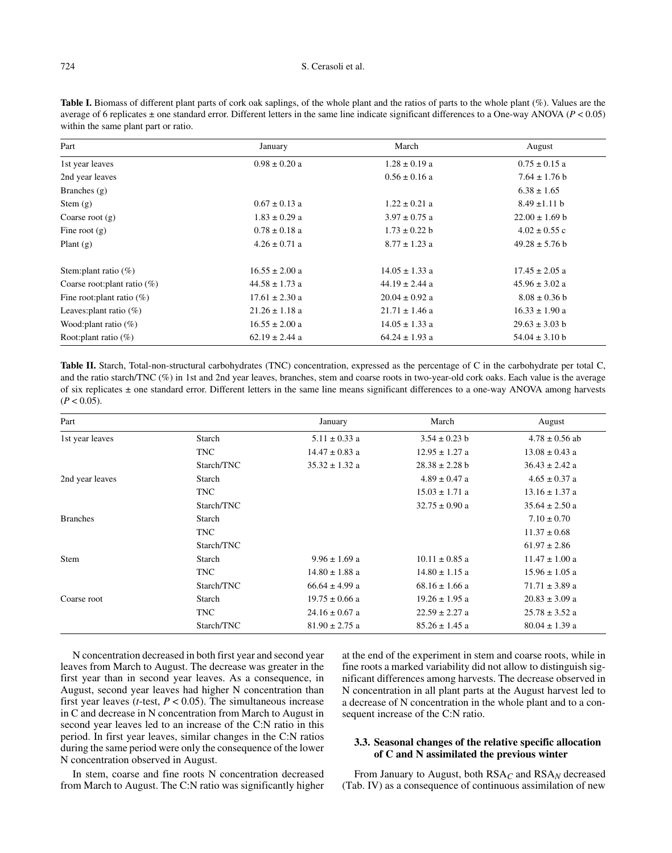#### 724 S. Cerasoli et al.

Table I. Biomass of different plant parts of cork oak saplings, of the whole plant and the ratios of parts to the whole plant (%). Values are the average of 6 replicates  $\pm$  one standard error. Different letters in the same line indicate significant differences to a One-way ANOVA ( $P < 0.05$ ) within the same plant part or ratio.

| Part                            | January            | March              | August             |  |
|---------------------------------|--------------------|--------------------|--------------------|--|
| 1st year leaves                 | $0.98 \pm 0.20$ a  | $1.28 \pm 0.19$ a  | $0.75 \pm 0.15$ a  |  |
| 2nd year leaves                 |                    | $0.56 \pm 0.16$ a  | $7.64 \pm 1.76$ b  |  |
| Branches $(g)$                  |                    |                    | $6.38 \pm 1.65$    |  |
| Stem $(g)$                      | $0.67 \pm 0.13$ a  | $1.22 \pm 0.21$ a  | $8.49 \pm 1.11 b$  |  |
| Coarse root $(g)$               | $1.83 \pm 0.29$ a  | $3.97 \pm 0.75$ a  | $22.00 \pm 1.69$ b |  |
| Fine root $(g)$                 | $0.78 \pm 0.18$ a  | $1.73 \pm 0.22$ b  | $4.02 \pm 0.55$ c  |  |
| Plant $(g)$                     | $4.26 \pm 0.71$ a  | $8.77 \pm 1.23$ a  | $49.28 \pm 5.76$ b |  |
| Stem: plant ratio $(\%)$        | $16.55 \pm 2.00$ a | $14.05 \pm 1.33$ a | $17.45 \pm 2.05$ a |  |
| Coarse root: plant ratio $(\%)$ | $44.58 \pm 1.73$ a | $44.19 \pm 2.44$ a | $45.96 \pm 3.02$ a |  |
| Fine root: plant ratio $(\%)$   | $17.61 \pm 2.30$ a | $20.04 \pm 0.92$ a | $8.08 \pm 0.36$ b  |  |
| Leaves: plant ratio $(\%)$      | $21.26 \pm 1.18$ a | $21.71 \pm 1.46$ a | $16.33 \pm 1.90 a$ |  |
| Wood: plant ratio $(\%)$        | $16.55 \pm 2.00$ a | $14.05 \pm 1.33$ a | $29.63 \pm 3.03$ b |  |
| Root: plant ratio $(\%)$        | $62.19 \pm 2.44$ a | $64.24 \pm 1.93$ a | $54.04 \pm 3.10 b$ |  |

Table II. Starch, Total-non-structural carbohydrates (TNC) concentration, expressed as the percentage of C in the carbohydrate per total C, and the ratio starch/TNC (%) in 1st and 2nd year leaves, branches, stem and coarse roots in two-year-old cork oaks. Each value is the average of six replicates ± one standard error. Different letters in the same line means significant differences to a one-way ANOVA among harvests  $(P < 0.05)$ .

| Part            |            | January            | March              | August             |  |
|-----------------|------------|--------------------|--------------------|--------------------|--|
| 1st year leaves | Starch     | $5.11 \pm 0.33$ a  | $3.54 \pm 0.23$ b  | $4.78 \pm 0.56$ ab |  |
|                 | TNC        | $14.47 \pm 0.83$ a | $12.95 \pm 1.27$ a | $13.08 \pm 0.43$ a |  |
|                 | Starch/TNC | $35.32 \pm 1.32$ a | $28.38 \pm 2.28$ b | $36.43 \pm 2.42$ a |  |
| 2nd year leaves | Starch     |                    | $4.89 \pm 0.47$ a  | $4.65 \pm 0.37$ a  |  |
|                 | TNC        |                    | $15.03 \pm 1.71$ a | $13.16 \pm 1.37$ a |  |
|                 | Starch/TNC |                    | $32.75 \pm 0.90$ a | $35.64 \pm 2.50$ a |  |
| <b>Branches</b> | Starch     |                    |                    | $7.10 \pm 0.70$    |  |
|                 | TNC        |                    |                    | $11.37 \pm 0.68$   |  |
|                 | Starch/TNC |                    |                    | $61.97 \pm 2.86$   |  |
| Stem            | Starch     | $9.96 \pm 1.69$ a  | $10.11 \pm 0.85$ a | $11.47 \pm 1.00$ a |  |
|                 | <b>TNC</b> | $14.80 \pm 1.88$ a | $14.80 \pm 1.15$ a | $15.96 \pm 1.05$ a |  |
|                 | Starch/TNC | $66.64 \pm 4.99$ a | $68.16 \pm 1.66$ a | $71.71 \pm 3.89$ a |  |
| Coarse root     | Starch     | $19.75 \pm 0.66$ a | $19.26 \pm 1.95$ a | $20.83 \pm 3.09$ a |  |
|                 | TNC        | $24.16 \pm 0.67$ a | $22.59 \pm 2.27$ a | $25.78 \pm 3.52$ a |  |
|                 | Starch/TNC | $81.90 \pm 2.75$ a | $85.26 \pm 1.45$ a | $80.04 \pm 1.39$ a |  |

N concentration decreased in both first year and second year leaves from March to August. The decrease was greater in the first year than in second year leaves. As a consequence, in August, second year leaves had higher N concentration than first year leaves ( $t$ -test,  $P < 0.05$ ). The simultaneous increase in C and decrease in N concentration from March to August in second year leaves led to an increase of the C:N ratio in this period. In first year leaves, similar changes in the C:N ratios during the same period were only the consequence of the lower N concentration observed in August.

In stem, coarse and fine roots N concentration decreased from March to August. The C:N ratio was significantly higher at the end of the experiment in stem and coarse roots, while in fine roots a marked variability did not allow to distinguish significant differences among harvests. The decrease observed in N concentration in all plant parts at the August harvest led to a decrease of N concentration in the whole plant and to a consequent increase of the C:N ratio.

## **3.3. Seasonal changes of the relative specific allocation of C and N assimilated the previous winter**

From January to August, both RSA*C* and RSA*N* decreased (Tab. IV) as a consequence of continuous assimilation of new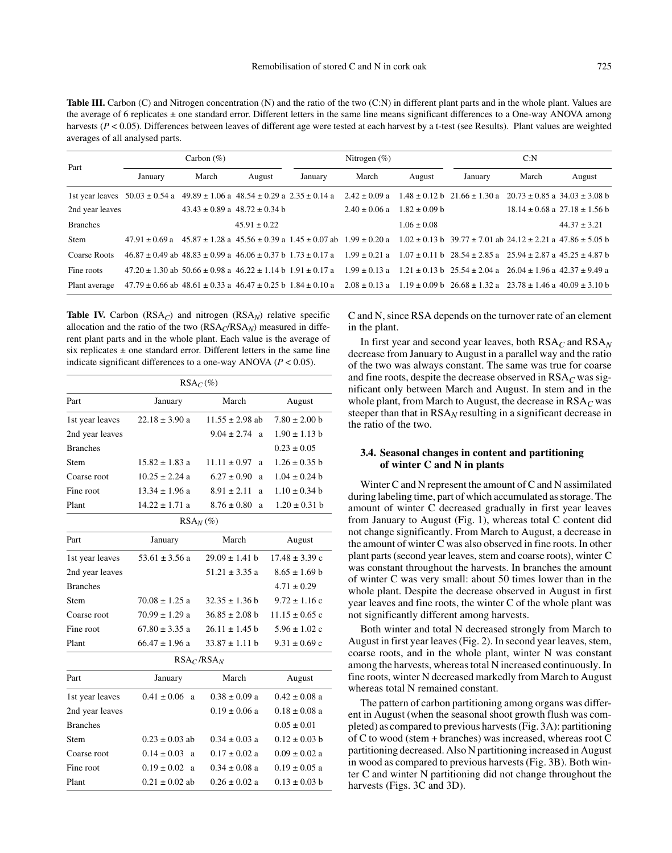Table III. Carbon (C) and Nitrogen concentration (N) and the ratio of the two (C:N) in different plant parts and in the whole plant. Values are the average of 6 replicates  $\pm$  one standard error. Different letters in the same line means significant differences to a One-way ANOVA among harvests ( $P$  < 0.05). Differences between leaves of different age were tested at each harvest by a t-test (see Results). Plant values are weighted averages of all analysed parts.

| Part            | Carbon $(\% )$                                                                                                                                                           |       | Nitrogen $(\% )$                      |         | C: N                                |                 |                                                                                                                                                        |       |                                       |
|-----------------|--------------------------------------------------------------------------------------------------------------------------------------------------------------------------|-------|---------------------------------------|---------|-------------------------------------|-----------------|--------------------------------------------------------------------------------------------------------------------------------------------------------|-------|---------------------------------------|
|                 | January                                                                                                                                                                  | March | August                                | January | March                               | August          | January                                                                                                                                                | March | August                                |
|                 | 1st year leaves $50.03 \pm 0.54$ a                                                                                                                                       |       |                                       |         |                                     |                 | $49.89 \pm 1.06$ a $48.54 \pm 0.29$ a $2.35 \pm 0.14$ a $2.42 \pm 0.09$ a $1.48 \pm 0.12$ b $21.66 \pm 1.30$ a $20.73 \pm 0.85$ a $34.03 \pm 3.08$ b   |       |                                       |
| 2nd year leaves |                                                                                                                                                                          |       | $43.43 \pm 0.89$ a $48.72 \pm 0.34$ b |         | $2.40 \pm 0.06$ a $1.82 \pm 0.09$ b |                 |                                                                                                                                                        |       | $18.14 \pm 0.68$ a $27.18 \pm 1.56$ b |
| <b>Branches</b> |                                                                                                                                                                          |       | $45.91 \pm 0.22$                      |         |                                     | $1.06 \pm 0.08$ |                                                                                                                                                        |       | $44.37 \pm 3.21$                      |
| Stem            | $47.91 + 0.69a$                                                                                                                                                          |       |                                       |         |                                     |                 | $45.87 \pm 1.28$ a $45.56 \pm 0.39$ a $1.45 \pm 0.07$ ab $1.99 \pm 0.20$ a $1.02 \pm 0.13$ b $39.77 \pm 7.01$ ab $24.12 \pm 2.21$ a $47.86 \pm 5.05$ b |       |                                       |
| Coarse Roots    | $46.87 \pm 0.49$ ab $48.83 \pm 0.99$ a $46.06 \pm 0.37$ b $1.73 \pm 0.17$ a                                                                                              |       |                                       |         |                                     |                 | $1.99 \pm 0.21$ a $1.07 \pm 0.11$ b $28.54 \pm 2.85$ a $25.94 \pm 2.87$ a $45.25 \pm 4.87$ b                                                           |       |                                       |
| Fine roots      | $47.20 \pm 1.30$ ab $50.66 \pm 0.98$ a $46.22 \pm 1.14$ b $1.91 \pm 0.17$ a $1.99 \pm 0.13$ a $1.21 \pm 0.13$ b $25.54 \pm 2.04$ a $26.04 \pm 1.96$ a $42.37 \pm 9.49$ a |       |                                       |         |                                     |                 |                                                                                                                                                        |       |                                       |
| Plant average   | $47.79 \pm 0.66$ ab $48.61 \pm 0.33$ a $46.47 \pm 0.25$ b $1.84 \pm 0.10$ a $2.08 \pm 0.13$ a $1.19 \pm 0.09$ b $26.68 \pm 1.32$ a $23.78 \pm 1.46$ a $40.09 \pm 3.10$ b |       |                                       |         |                                     |                 |                                                                                                                                                        |       |                                       |

**Table IV.** Carbon ( $RSA_C$ ) and nitrogen ( $RSA_M$ ) relative specific allocation and the ratio of the two  $(RSA<sub>C</sub>/RSA<sub>N</sub>)$  measured in different plant parts and in the whole plant. Each value is the average of six replicates  $\pm$  one standard error. Different letters in the same line indicate significant differences to a one-way ANOVA (*P* < 0.05).

| $RSA_C(\%)$                        |                      |                       |                    |  |  |  |
|------------------------------------|----------------------|-----------------------|--------------------|--|--|--|
| Part                               | January              | March                 | August             |  |  |  |
| 1st year leaves                    | $22.18 \pm 3.90$ a   | $11.55 \pm 2.98$ ab   | $7.80 \pm 2.00$ b  |  |  |  |
| 2nd year leaves                    |                      | $9.04 \pm 2.74$<br>a  | $1.90 \pm 1.13$ b  |  |  |  |
| <b>Branches</b>                    |                      |                       | $0.23 \pm 0.05$    |  |  |  |
| Stem                               | $15.82 \pm 1.83$ a   | $11.11 \pm 0.97$<br>a | $1.26 \pm 0.35$ b  |  |  |  |
| Coarse root                        | $10.25 \pm 2.24$ a   | $6.27 \pm 0.90$<br>a  | $1.04 \pm 0.24$ b  |  |  |  |
| Fine root                          | $13.34 \pm 1.96$ a   | $8.91 \pm 2.11$<br>a  | $1.10 \pm 0.34$ b  |  |  |  |
| Plant                              | $14.22 \pm 1.71$ a   | $8.76 \pm 0.80$<br>a  | $1.20 \pm 0.31$ b  |  |  |  |
| $RSA_N (\%)$                       |                      |                       |                    |  |  |  |
| Part                               | January              | March                 | August             |  |  |  |
| 1st year leaves                    | $53.61 \pm 3.56$ a   | $29.09 \pm 1.41$ b    | $17.48 \pm 3.39$ c |  |  |  |
| 2nd year leaves                    |                      | $51.21 \pm 3.35$ a    | $8.65 \pm 1.69$ b  |  |  |  |
| <b>Branches</b>                    |                      |                       | $4.71 \pm 0.29$    |  |  |  |
| Stem                               | $70.08 \pm 1.25$ a   | $32.35 \pm 1.36$ b    | $9.72 \pm 1.16$ c  |  |  |  |
| Coarse root                        | $70.99 \pm 1.29$ a   | $36.85 \pm 2.08$ b    | $11.15 \pm 0.65$ c |  |  |  |
| Fine root                          | $67.80 \pm 3.35$ a   | $26.11 \pm 1.45$ b    | $5.96 \pm 1.02$ c  |  |  |  |
| Plant                              | $66.47 \pm 1.96$ a   | $33.87 \pm 1.11$ b    | $9.31 \pm 0.69$ c  |  |  |  |
| RSA <sub>C</sub> /RSA <sub>N</sub> |                      |                       |                    |  |  |  |
| Part                               | January              | March                 | August             |  |  |  |
| 1st year leaves                    | $0.41 \pm 0.06$<br>a | $0.38 \pm 0.09$ a     | $0.42 \pm 0.08$ a  |  |  |  |
| 2nd year leaves                    |                      | $0.19 \pm 0.06$ a     | $0.18 \pm 0.08$ a  |  |  |  |
| <b>Branches</b>                    |                      |                       | $0.05 \pm 0.01$    |  |  |  |
| Stem                               | $0.23 \pm 0.03$ ab   | $0.34 \pm 0.03$ a     | $0.12 \pm 0.03$ b  |  |  |  |
| Coarse root                        | $0.14 \pm 0.03$<br>a | $0.17 \pm 0.02$ a     | $0.09 \pm 0.02$ a  |  |  |  |
| Fine root                          | $0.19 \pm 0.02$<br>a | $0.34 \pm 0.08$ a     | $0.19 \pm 0.05$ a  |  |  |  |
| Plant                              | $0.21 \pm 0.02$ ab   | $0.26 \pm 0.02$ a     | $0.13 \pm 0.03$ b  |  |  |  |

C and N, since RSA depends on the turnover rate of an element in the plant.

In first year and second year leaves, both RSA*C* and RSA*<sup>N</sup>* decrease from January to August in a parallel way and the ratio of the two was always constant. The same was true for coarse and fine roots, despite the decrease observed in  $RSA_\text{C}$  was significant only between March and August. In stem and in the whole plant, from March to August, the decrease in RSA*C* was steeper than that in  $RSA_N$  resulting in a significant decrease in the ratio of the two.

## **3.4. Seasonal changes in content and partitioning of winter C and N in plants**

Winter C and N represent the amount of C and N assimilated during labeling time, part of which accumulated as storage. The amount of winter C decreased gradually in first year leaves from January to August (Fig. 1), whereas total C content did not change significantly. From March to August, a decrease in the amount of winter C was also observed in fine roots. In other plant parts (second year leaves, stem and coarse roots), winter C was constant throughout the harvests. In branches the amount of winter C was very small: about 50 times lower than in the whole plant. Despite the decrease observed in August in first year leaves and fine roots, the winter C of the whole plant was not significantly different among harvests.

Both winter and total N decreased strongly from March to August in first year leaves (Fig. 2). In second year leaves, stem, coarse roots, and in the whole plant, winter N was constant among the harvests, whereas total N increased continuously. In fine roots, winter N decreased markedly from March to August whereas total N remained constant.

The pattern of carbon partitioning among organs was different in August (when the seasonal shoot growth flush was completed) as compared to previous harvests (Fig. 3A): partitioning of C to wood (stem + branches) was increased, whereas root C partitioning decreased. Also N partitioning increased in August in wood as compared to previous harvests (Fig. 3B). Both winter C and winter N partitioning did not change throughout the harvests (Figs. 3C and 3D).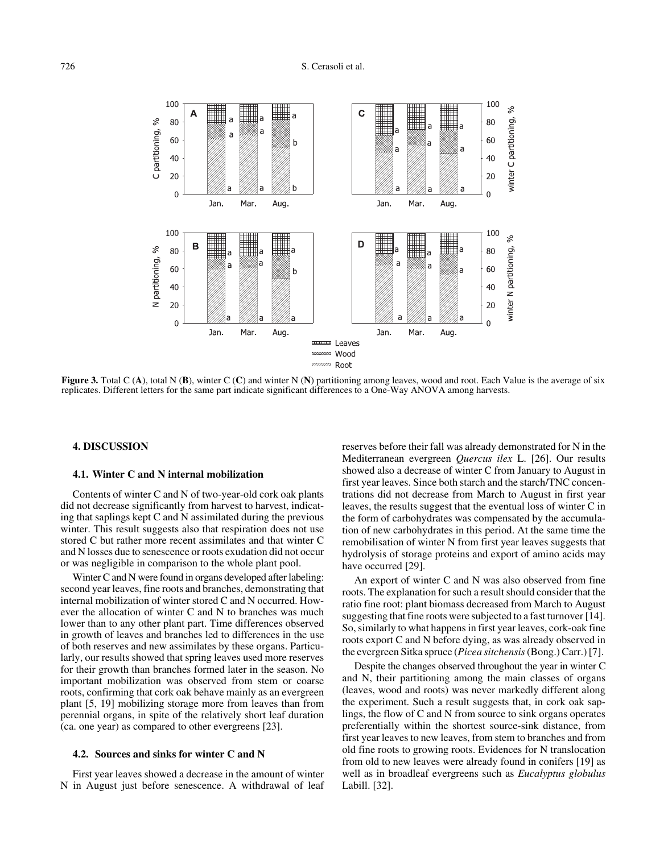

**Figure 3.** Total C (**A**), total N (**B**), winter C (**C**) and winter N (**N**) partitioning among leaves, wood and root. Each Value is the average of six replicates. Different letters for the same part indicate significant differences to a One-Way ANOVA among harvests.

#### **4. DISCUSSION**

#### **4.1. Winter C and N internal mobilization**

Contents of winter C and N of two-year-old cork oak plants did not decrease significantly from harvest to harvest, indicating that saplings kept C and N assimilated during the previous winter. This result suggests also that respiration does not use stored C but rather more recent assimilates and that winter C and N losses due to senescence or roots exudation did not occur or was negligible in comparison to the whole plant pool.

Winter C and N were found in organs developed after labeling: second year leaves, fine roots and branches, demonstrating that internal mobilization of winter stored C and N occurred. However the allocation of winter C and N to branches was much lower than to any other plant part. Time differences observed in growth of leaves and branches led to differences in the use of both reserves and new assimilates by these organs. Particularly, our results showed that spring leaves used more reserves for their growth than branches formed later in the season. No important mobilization was observed from stem or coarse roots, confirming that cork oak behave mainly as an evergreen plant [5, 19] mobilizing storage more from leaves than from perennial organs, in spite of the relatively short leaf duration (ca. one year) as compared to other evergreens [23].

### **4.2. Sources and sinks for winter C and N**

First year leaves showed a decrease in the amount of winter N in August just before senescence. A withdrawal of leaf reserves before their fall was already demonstrated for N in the Mediterranean evergreen *Quercus ilex* L. [26]. Our results showed also a decrease of winter C from January to August in first year leaves. Since both starch and the starch/TNC concentrations did not decrease from March to August in first year leaves, the results suggest that the eventual loss of winter C in the form of carbohydrates was compensated by the accumulation of new carbohydrates in this period. At the same time the remobilisation of winter N from first year leaves suggests that hydrolysis of storage proteins and export of amino acids may have occurred [29].

An export of winter C and N was also observed from fine roots. The explanation for such a result should consider that the ratio fine root: plant biomass decreased from March to August suggesting that fine roots were subjected to a fast turnover [14]. So, similarly to what happens in first year leaves, cork-oak fine roots export C and N before dying, as was already observed in the evergreen Sitka spruce (*Picea sitchensis* (Bong.) Carr.) [7].

Despite the changes observed throughout the year in winter C and N, their partitioning among the main classes of organs (leaves, wood and roots) was never markedly different along the experiment. Such a result suggests that, in cork oak saplings, the flow of C and N from source to sink organs operates preferentially within the shortest source-sink distance, from first year leaves to new leaves, from stem to branches and from old fine roots to growing roots. Evidences for N translocation from old to new leaves were already found in conifers [19] as well as in broadleaf evergreens such as *Eucalyptus globulus* Labill. [32].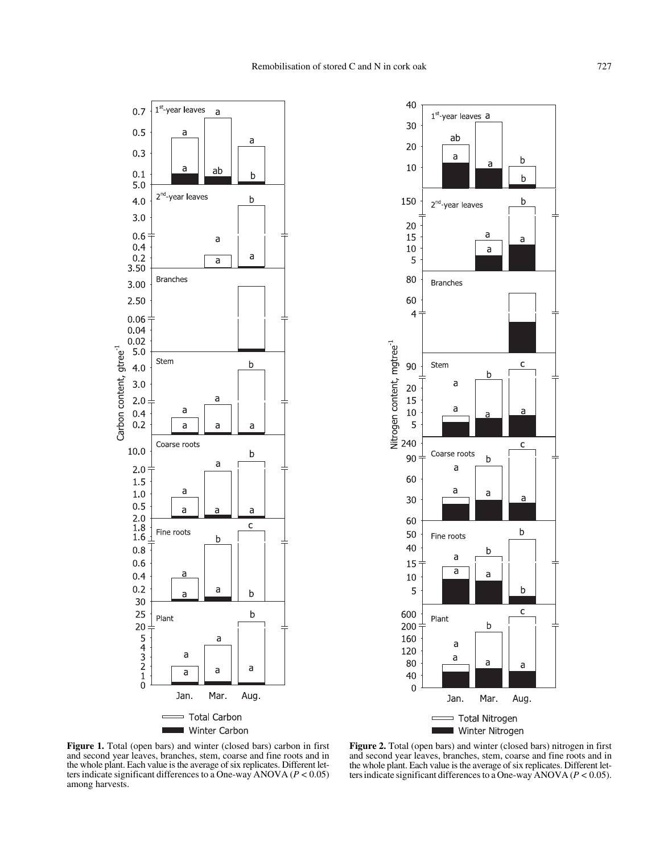



**Figure 1.** Total (open bars) and winter (closed bars) carbon in first and second year leaves, branches, stem, coarse and fine roots and in the whole plant. Each value is the average of six replicates. Different letters indicate significant differences to a One-way ANOVA (*P* < 0.05) among harvests.

**Figure 2.** Total (open bars) and winter (closed bars) nitrogen in first and second year leaves, branches, stem, coarse and fine roots and in the whole plant. Each value is the average of six replicates. Different letters indicate significant differences to a One-way ANOVA ( $P < 0.05$ ).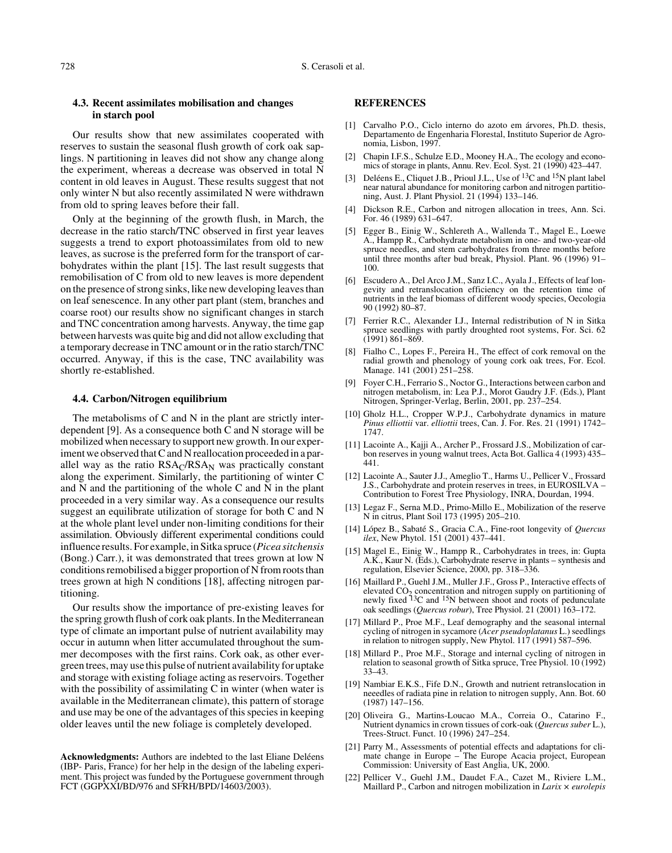## **4.3. Recent assimilates mobilisation and changes in starch pool**

Our results show that new assimilates cooperated with reserves to sustain the seasonal flush growth of cork oak saplings. N partitioning in leaves did not show any change along the experiment, whereas a decrease was observed in total N content in old leaves in August. These results suggest that not only winter N but also recently assimilated N were withdrawn from old to spring leaves before their fall.

Only at the beginning of the growth flush, in March, the decrease in the ratio starch/TNC observed in first year leaves suggests a trend to export photoassimilates from old to new leaves, as sucrose is the preferred form for the transport of carbohydrates within the plant [15]. The last result suggests that remobilisation of C from old to new leaves is more dependent on the presence of strong sinks, like new developing leaves than on leaf senescence. In any other part plant (stem, branches and coarse root) our results show no significant changes in starch and TNC concentration among harvests. Anyway, the time gap between harvests was quite big and did not allow excluding that a temporary decrease in TNC amount or in the ratio starch/TNC occurred. Anyway, if this is the case, TNC availability was shortly re-established.

#### **4.4. Carbon/Nitrogen equilibrium**

The metabolisms of C and N in the plant are strictly interdependent [9]. As a consequence both C and N storage will be mobilized when necessary to support new growth. In our experiment we observed that C and N reallocation proceeded in a parallel way as the ratio  $RSA_C/RSA_N$  was practically constant along the experiment. Similarly, the partitioning of winter C and N and the partitioning of the whole C and N in the plant proceeded in a very similar way. As a consequence our results suggest an equilibrate utilization of storage for both C and N at the whole plant level under non-limiting conditions for their assimilation. Obviously different experimental conditions could influence results. For example, in Sitka spruce (*Picea sitchensis* (Bong.) Carr.), it was demonstrated that trees grown at low N conditions remobilised a bigger proportion of N from roots than trees grown at high N conditions [18], affecting nitrogen partitioning.

Our results show the importance of pre-existing leaves for the spring growth flush of cork oak plants. In the Mediterranean type of climate an important pulse of nutrient availability may occur in autumn when litter accumulated throughout the summer decomposes with the first rains. Cork oak, as other evergreen trees, may use this pulse of nutrient availability for uptake and storage with existing foliage acting as reservoirs. Together with the possibility of assimilating C in winter (when water is available in the Mediterranean climate), this pattern of storage and use may be one of the advantages of this species in keeping older leaves until the new foliage is completely developed.

**Acknowledgments:** Authors are indebted to the last Eliane Deléens (IBP- Paris, France) for her help in the design of the labeling experiment. This project was funded by the Portuguese government through FCT (GGPXXI/BD/976 and SFRH/BPD/14603/2003).

#### **REFERENCES**

- [1] Carvalho P.O., Ciclo interno do azoto em árvores, Ph.D. thesis, Departamento de Engenharia Florestal, Instituto Superior de Agronomia, Lisbon, 1997.
- [2] Chapin I.F.S., Schulze E.D., Mooney H.A., The ecology and economics of storage in plants, Annu. Rev. Ecol. Syst. 21 (1990) 423–447.
- [3] Deléens E., Cliquet J.B., Prioul J.L., Use of <sup>13</sup>C and <sup>15</sup>N plant label near natural abundance for monitoring carbon and nitrogen partitioning, Aust. J. Plant Physiol. 21 (1994) 133–146.
- [4] Dickson R.E., Carbon and nitrogen allocation in trees, Ann. Sci. For. 46 (1989) 631–647.
- [5] Egger B., Einig W., Schlereth A., Wallenda T., Magel E., Loewe A., Hampp R., Carbohydrate metabolism in one- and two-year-old spruce needles, and stem carbohydrates from three months before until three months after bud break, Physiol. Plant. 96 (1996) 91– 100.
- [6] Escudero A., Del Arco J.M., Sanz I.C., Ayala J., Effects of leaf longevity and retranslocation efficiency on the retention time of nutrients in the leaf biomass of different woody species, Oecologia 90 (1992) 80–87.
- [7] Ferrier R.C., Alexander I.J., Internal redistribution of N in Sitka spruce seedlings with partly droughted root systems, For. Sci. 62  $(1991)$  861–869.
- [8] Fialho C., Lopes F., Pereira H., The effect of cork removal on the radial growth and phenology of young cork oak trees, For. Ecol. Manage. 141 (2001) 251–258.
- [9] Foyer C.H., Ferrario S., Noctor G., Interactions between carbon and nitrogen metabolism, in: Lea P.J., Morot Gaudry J.F. (Eds.), Plant Nitrogen, Springer-Verlag, Berlin, 2001, pp. 237–254.
- [10] Gholz H.L., Cropper W.P.J., Carbohydrate dynamics in mature *Pinus elliottii* var. *elliottii* trees, Can. J. For. Res. 21 (1991) 1742– 1747.
- [11] Lacointe A., Kajji A., Archer P., Frossard J.S., Mobilization of carbon reserves in young walnut trees, Acta Bot. Gallica 4 (1993) 435– 441.
- [12] Lacointe A., Sauter J.J., Ameglio T., Harms U., Pellicer V., Frossard J.S., Carbohydrate and protein reserves in trees, in EUROSILVA – Contribution to Forest Tree Physiology, INRA, Dourdan, 1994.
- [13] Legaz F., Serna M.D., Primo-Millo E., Mobilization of the reserve N in citrus, Plant Soil 173 (1995) 205–210.
- [14] López B., Sabaté S., Gracia C.A., Fine-root longevity of *Quercus ilex*, New Phytol. 151 (2001) 437–441.
- [15] Magel E., Einig W., Hampp R., Carbohydrates in trees, in: Gupta A.K., Kaur N. (Eds.), Carbohydrate reserve in plants – synthesis and regulation, Elsevier Science, 2000, pp. 318–336.
- [16] Maillard P., Guehl J.M., Muller J.F., Gross P., Interactive effects of elevated  $CO<sub>2</sub>$  concentration and nitrogen supply on partitioning of newly fixed  $13C$  and  $15N$  between shoot and roots of pedunculate oak seedlings (*Quercus robur*), Tree Physiol. 21 (2001) 163–172.
- [17] Millard P., Proe M.F., Leaf demography and the seasonal internal cycling of nitrogen in sycamore (*Acer pseudoplatanus* L.) seedlings in relation to nitrogen supply, New Phytol. 117 (1991) 587–596.
- [18] Millard P., Proe M.F., Storage and internal cycling of nitrogen in relation to seasonal growth of Sitka spruce, Tree Physiol. 10 (1992) 33–43.
- [19] Nambiar E.K.S., Fife D.N., Growth and nutrient retranslocation in neeedles of radiata pine in relation to nitrogen supply, Ann. Bot. 60 (1987) 147–156.
- [20] Oliveira G., Martins-Loucao M.A., Correia O., Catarino F., Nutrient dynamics in crown tissues of cork-oak (*Quercus suber* L.), Trees-Struct. Funct. 10 (1996) 247–254.
- [21] Parry M., Assessments of potential effects and adaptations for climate change in Europe – The Europe Acacia project, European Commission: University of East Anglia, UK, 2000.
- [22] Pellicer V., Guehl J.M., Daudet F.A., Cazet M., Riviere L.M., Maillard P., Carbon and nitrogen mobilization in *Larix × eurolepis*